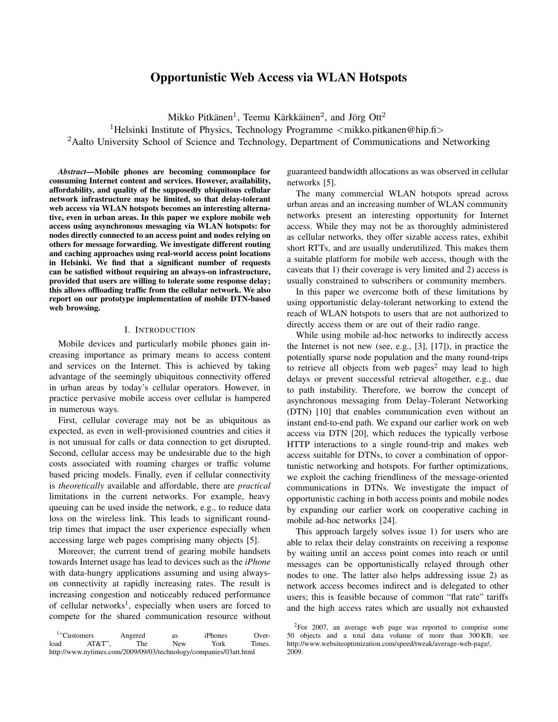# Opportunistic Web Access via WLAN Hotspots

Mikko Pitkänen<sup>1</sup>, Teemu Kärkkäinen<sup>2</sup>, and Jörg Ott<sup>2</sup> <sup>1</sup>Helsinki Institute of Physics, Technology Programme  $\langle$ mikko.pitkanen@hip.fi $>$ <sup>2</sup>Aalto University School of Science and Technology, Department of Communications and Networking

*Abstract*—Mobile phones are becoming commonplace for consuming Internet content and services. However, availability, affordability, and quality of the supposedly ubiquitous cellular network infrastructure may be limited, so that delay-tolerant web access via WLAN hotspots becomes an interesting alternative, even in urban areas. In this paper we explore mobile web access using asynchronous messaging via WLAN hotspots: for nodes directly connected to an access point and nodes relying on others for message forwarding. We investigate different routing and caching approaches using real-world access point locations in Helsinki. We find that a significant number of requests can be satisfied without requiring an always-on infrastructure, provided that users are willing to tolerate some response delay; this allows offloading traffic from the cellular network. We also report on our prototype implementation of mobile DTN-based web browsing.

## I. INTRODUCTION

Mobile devices and particularly mobile phones gain increasing importance as primary means to access content and services on the Internet. This is achieved by taking advantage of the seemingly ubiquitous connectivity offered in urban areas by today's cellular operators. However, in practice pervasive mobile access over cellular is hampered in numerous ways.

First, cellular coverage may not be as ubiquitous as expected, as even in well-provisioned countries and cities it is not unusual for calls or data connection to get disrupted. Second, cellular access may be undesirable due to the high costs associated with roaming charges or traffic volume based pricing models. Finally, even if cellular connectivity is *theoretically* available and affordable, there are *practical* limitations in the current networks. For example, heavy queuing can be used inside the network, e.g., to reduce data loss on the wireless link. This leads to significant roundtrip times that impact the user experience especially when accessing large web pages comprising many objects [5].

Moreover, the current trend of gearing mobile handsets towards Internet usage has lead to devices such as the *iPhone* with data-hungry applications assuming and using alwayson connectivity at rapidly increasing rates. The result is increasing congestion and noticeably reduced performance of cellular networks<sup>1</sup>, especially when users are forced to compete for the shared communication resource without

<sup>1</sup>"Customers Angered as iPhones Overload AT&T", The New York Times. http://www.nytimes.com/2009/09/03/technology/companies/03att.html

guaranteed bandwidth allocations as was observed in cellular networks [5].

The many commercial WLAN hotspots spread across urban areas and an increasing number of WLAN community networks present an interesting opportunity for Internet access. While they may not be as thoroughly administered as cellular networks, they offer sizable access rates, exhibit short RTTs, and are usually underutilized. This makes them a suitable platform for mobile web access, though with the caveats that 1) their coverage is very limited and 2) access is usually constrained to subscribers or community members.

In this paper we overcome both of these limitations by using opportunistic delay-tolerant networking to extend the reach of WLAN hotspots to users that are not authorized to directly access them or are out of their radio range.

While using mobile ad-hoc networks to indirectly access the Internet is not new (see, e.g., [3], [17]), in practice the potentially sparse node population and the many round-trips to retrieve all objects from web pages<sup>2</sup> may lead to high delays or prevent successful retrieval altogether, e.g., due to path instability. Therefore, we borrow the concept of asynchronous messaging from Delay-Tolerant Networking (DTN) [10] that enables communication even without an instant end-to-end path. We expand our earlier work on web access via DTN [20], which reduces the typically verbose HTTP interactions to a single round-trip and makes web access suitable for DTNs, to cover a combination of opportunistic networking and hotspots. For further optimizations, we exploit the caching friendliness of the message-oriented communications in DTNs. We investigate the impact of opportunistic caching in both access points and mobile nodes by expanding our earlier work on cooperative caching in mobile ad-hoc networks [24].

This approach largely solves issue 1) for users who are able to relax their delay constraints on receiving a response by waiting until an access point comes into reach or until messages can be opportunistically relayed through other nodes to one. The latter also helps addressing issue 2) as network access becomes indirect and is delegated to other users; this is feasible because of common "flat rate" tariffs and the high access rates which are usually not exhausted

<sup>&</sup>lt;sup>2</sup>For 2007, an average web page was reported to comprise some 50 objects and a total data volume of more than 300 KB; see http://www.websiteoptimization.com/speed/tweak/average-web-page/, 2009.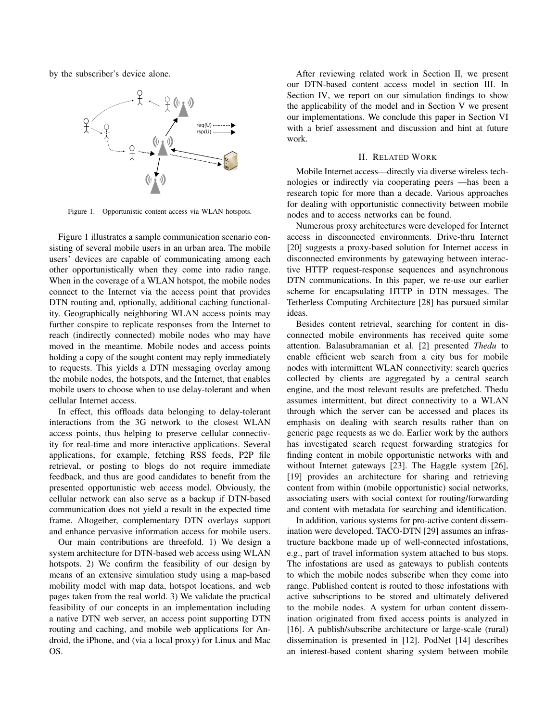by the subscriber's device alone.



Figure 1. Opportunistic content access via WLAN hotspots.

Figure 1 illustrates a sample communication scenario consisting of several mobile users in an urban area. The mobile users' devices are capable of communicating among each other opportunistically when they come into radio range. When in the coverage of a WLAN hotspot, the mobile nodes connect to the Internet via the access point that provides DTN routing and, optionally, additional caching functionality. Geographically neighboring WLAN access points may further conspire to replicate responses from the Internet to reach (indirectly connected) mobile nodes who may have moved in the meantime. Mobile nodes and access points holding a copy of the sought content may reply immediately to requests. This yields a DTN messaging overlay among the mobile nodes, the hotspots, and the Internet, that enables mobile users to choose when to use delay-tolerant and when cellular Internet access.

In effect, this offloads data belonging to delay-tolerant interactions from the 3G network to the closest WLAN access points, thus helping to preserve cellular connectivity for real-time and more interactive applications. Several applications, for example, fetching RSS feeds, P2P file retrieval, or posting to blogs do not require immediate feedback, and thus are good candidates to benefit from the presented opportunistic web access model. Obviously, the cellular network can also serve as a backup if DTN-based communication does not yield a result in the expected time frame. Altogether, complementary DTN overlays support and enhance pervasive information access for mobile users.

Our main contributions are threefold. 1) We design a system architecture for DTN-based web access using WLAN hotspots. 2) We confirm the feasibility of our design by means of an extensive simulation study using a map-based mobility model with map data, hotspot locations, and web pages taken from the real world. 3) We validate the practical feasibility of our concepts in an implementation including a native DTN web server, an access point supporting DTN routing and caching, and mobile web applications for Android, the iPhone, and (via a local proxy) for Linux and Mac OS.

After reviewing related work in Section II, we present our DTN-based content access model in section III. In Section IV, we report on our simulation findings to show the applicability of the model and in Section V we present our implementations. We conclude this paper in Section VI with a brief assessment and discussion and hint at future work.

## II. RELATED WORK

Mobile Internet access—directly via diverse wireless technologies or indirectly via cooperating peers —has been a research topic for more than a decade. Various approaches for dealing with opportunistic connectivity between mobile nodes and to access networks can be found.

Numerous proxy architectures were developed for Internet access in disconnected environments. Drive-thru Internet [20] suggests a proxy-based solution for Internet access in disconnected environments by gatewaying between interactive HTTP request-response sequences and asynchronous DTN communications. In this paper, we re-use our earlier scheme for encapsulating HTTP in DTN messages. The Tetherless Computing Architecture [28] has pursued similar ideas.

Besides content retrieval, searching for content in disconnected mobile environments has received quite some attention. Balasubramanian et al. [2] presented *Thedu* to enable efficient web search from a city bus for mobile nodes with intermittent WLAN connectivity: search queries collected by clients are aggregated by a central search engine, and the most relevant results are prefetched. Thedu assumes intermittent, but direct connectivity to a WLAN through which the server can be accessed and places its emphasis on dealing with search results rather than on generic page requests as we do. Earlier work by the authors has investigated search request forwarding strategies for finding content in mobile opportunistic networks with and without Internet gateways [23]. The Haggle system [26], [19] provides an architecture for sharing and retrieving content from within (mobile opportunistic) social networks, associating users with social context for routing/forwarding and content with metadata for searching and identification.

In addition, various systems for pro-active content dissemination were developed. TACO-DTN [29] assumes an infrastructure backbone made up of well-connected infostations, e.g., part of travel information system attached to bus stops. The infostations are used as gateways to publish contents to which the mobile nodes subscribe when they come into range. Published content is routed to those infostations with active subscriptions to be stored and ultimately delivered to the mobile nodes. A system for urban content dissemination originated from fixed access points is analyzed in [16]. A publish/subscribe architecture or large-scale (rural) dissemination is presented in [12]. PodNet [14] describes an interest-based content sharing system between mobile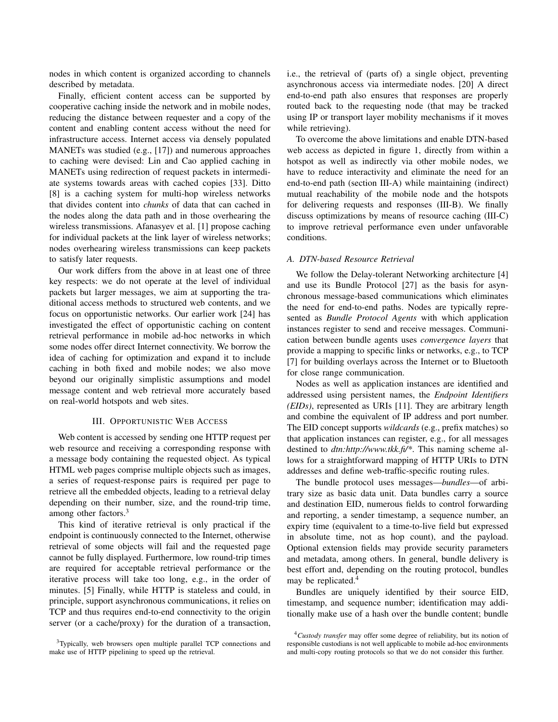nodes in which content is organized according to channels described by metadata.

Finally, efficient content access can be supported by cooperative caching inside the network and in mobile nodes, reducing the distance between requester and a copy of the content and enabling content access without the need for infrastructure access. Internet access via densely populated MANETs was studied (e.g., [17]) and numerous approaches to caching were devised: Lin and Cao applied caching in MANETs using redirection of request packets in intermediate systems towards areas with cached copies [33]. Ditto [8] is a caching system for multi-hop wireless networks that divides content into *chunks* of data that can cached in the nodes along the data path and in those overhearing the wireless transmissions. Afanasyev et al. [1] propose caching for individual packets at the link layer of wireless networks; nodes overhearing wireless transmissions can keep packets to satisfy later requests.

Our work differs from the above in at least one of three key respects: we do not operate at the level of individual packets but larger messages, we aim at supporting the traditional access methods to structured web contents, and we focus on opportunistic networks. Our earlier work [24] has investigated the effect of opportunistic caching on content retrieval performance in mobile ad-hoc networks in which some nodes offer direct Internet connectivity. We borrow the idea of caching for optimization and expand it to include caching in both fixed and mobile nodes; we also move beyond our originally simplistic assumptions and model message content and web retrieval more accurately based on real-world hotspots and web sites.

# III. OPPORTUNISTIC WEB ACCESS

Web content is accessed by sending one HTTP request per web resource and receiving a corresponding response with a message body containing the requested object. As typical HTML web pages comprise multiple objects such as images, a series of request-response pairs is required per page to retrieve all the embedded objects, leading to a retrieval delay depending on their number, size, and the round-trip time, among other factors.<sup>3</sup>

This kind of iterative retrieval is only practical if the endpoint is continuously connected to the Internet, otherwise retrieval of some objects will fail and the requested page cannot be fully displayed. Furthermore, low round-trip times are required for acceptable retrieval performance or the iterative process will take too long, e.g., in the order of minutes. [5] Finally, while HTTP is stateless and could, in principle, support asynchronous communications, it relies on TCP and thus requires end-to-end connectivity to the origin server (or a cache/proxy) for the duration of a transaction, i.e., the retrieval of (parts of) a single object, preventing asynchronous access via intermediate nodes. [20] A direct end-to-end path also ensures that responses are properly routed back to the requesting node (that may be tracked using IP or transport layer mobility mechanisms if it moves while retrieving).

To overcome the above limitations and enable DTN-based web access as depicted in figure 1, directly from within a hotspot as well as indirectly via other mobile nodes, we have to reduce interactivity and eliminate the need for an end-to-end path (section III-A) while maintaining (indirect) mutual reachability of the mobile node and the hotspots for delivering requests and responses (III-B). We finally discuss optimizations by means of resource caching (III-C) to improve retrieval performance even under unfavorable conditions.

#### *A. DTN-based Resource Retrieval*

We follow the Delay-tolerant Networking architecture [4] and use its Bundle Protocol [27] as the basis for asynchronous message-based communications which eliminates the need for end-to-end paths. Nodes are typically represented as *Bundle Protocol Agents* with which application instances register to send and receive messages. Communication between bundle agents uses *convergence layers* that provide a mapping to specific links or networks, e.g., to TCP [7] for building overlays across the Internet or to Bluetooth for close range communication.

Nodes as well as application instances are identified and addressed using persistent names, the *Endpoint Identifiers (EIDs)*, represented as URIs [11]. They are arbitrary length and combine the equivalent of IP address and port number. The EID concept supports *wildcards* (e.g., prefix matches) so that application instances can register, e.g., for all messages destined to *dtn:http://www.tkk.fi/\**. This naming scheme allows for a straightforward mapping of HTTP URIs to DTN addresses and define web-traffic-specific routing rules.

The bundle protocol uses messages—*bundles*—of arbitrary size as basic data unit. Data bundles carry a source and destination EID, numerous fields to control forwarding and reporting, a sender timestamp, a sequence number, an expiry time (equivalent to a time-to-live field but expressed in absolute time, not as hop count), and the payload. Optional extension fields may provide security parameters and metadata, among others. In general, bundle delivery is best effort and, depending on the routing protocol, bundles may be replicated.<sup>4</sup>

Bundles are uniquely identified by their source EID, timestamp, and sequence number; identification may additionally make use of a hash over the bundle content; bundle

<sup>3</sup>Typically, web browsers open multiple parallel TCP connections and make use of HTTP pipelining to speed up the retrieval.

<sup>4</sup>*Custody transfer* may offer some degree of reliability, but its notion of responsible custodians is not well applicable to mobile ad-hoc environments and multi-copy routing protocols so that we do not consider this further.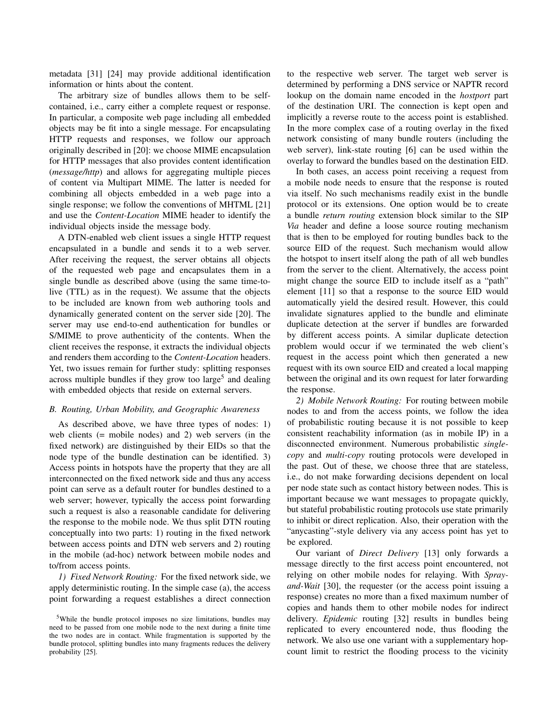metadata [31] [24] may provide additional identification information or hints about the content.

The arbitrary size of bundles allows them to be selfcontained, i.e., carry either a complete request or response. In particular, a composite web page including all embedded objects may be fit into a single message. For encapsulating HTTP requests and responses, we follow our approach originally described in [20]: we choose MIME encapsulation for HTTP messages that also provides content identification (*message/http*) and allows for aggregating multiple pieces of content via Multipart MIME. The latter is needed for combining all objects embedded in a web page into a single response; we follow the conventions of MHTML [21] and use the *Content-Location* MIME header to identify the individual objects inside the message body.

A DTN-enabled web client issues a single HTTP request encapsulated in a bundle and sends it to a web server. After receiving the request, the server obtains all objects of the requested web page and encapsulates them in a single bundle as described above (using the same time-tolive (TTL) as in the request). We assume that the objects to be included are known from web authoring tools and dynamically generated content on the server side [20]. The server may use end-to-end authentication for bundles or S/MIME to prove authenticity of the contents. When the client receives the response, it extracts the individual objects and renders them according to the *Content-Location* headers. Yet, two issues remain for further study: splitting responses across multiple bundles if they grow too large<sup>5</sup> and dealing with embedded objects that reside on external servers.

## *B. Routing, Urban Mobility, and Geographic Awareness*

As described above, we have three types of nodes: 1) web clients (= mobile nodes) and 2) web servers (in the fixed network) are distinguished by their EIDs so that the node type of the bundle destination can be identified. 3) Access points in hotspots have the property that they are all interconnected on the fixed network side and thus any access point can serve as a default router for bundles destined to a web server; however, typically the access point forwarding such a request is also a reasonable candidate for delivering the response to the mobile node. We thus split DTN routing conceptually into two parts: 1) routing in the fixed network between access points and DTN web servers and 2) routing in the mobile (ad-hoc) network between mobile nodes and to/from access points.

*1) Fixed Network Routing:* For the fixed network side, we apply deterministic routing. In the simple case (a), the access point forwarding a request establishes a direct connection to the respective web server. The target web server is determined by performing a DNS service or NAPTR record lookup on the domain name encoded in the *hostport* part of the destination URI. The connection is kept open and implicitly a reverse route to the access point is established. In the more complex case of a routing overlay in the fixed network consisting of many bundle routers (including the web server), link-state routing [6] can be used within the overlay to forward the bundles based on the destination EID.

In both cases, an access point receiving a request from a mobile node needs to ensure that the response is routed via itself. No such mechanisms readily exist in the bundle protocol or its extensions. One option would be to create a bundle *return routing* extension block similar to the SIP *Via* header and define a loose source routing mechanism that is then to be employed for routing bundles back to the source EID of the request. Such mechanism would allow the hotspot to insert itself along the path of all web bundles from the server to the client. Alternatively, the access point might change the source EID to include itself as a "path" element [11] so that a response to the source EID would automatically yield the desired result. However, this could invalidate signatures applied to the bundle and eliminate duplicate detection at the server if bundles are forwarded by different access points. A similar duplicate detection problem would occur if we terminated the web client's request in the access point which then generated a new request with its own source EID and created a local mapping between the original and its own request for later forwarding the response.

*2) Mobile Network Routing:* For routing between mobile nodes to and from the access points, we follow the idea of probabilistic routing because it is not possible to keep consistent reachability information (as in mobile IP) in a disconnected environment. Numerous probabilistic *singlecopy* and *multi-copy* routing protocols were developed in the past. Out of these, we choose three that are stateless, i.e., do not make forwarding decisions dependent on local per node state such as contact history between nodes. This is important because we want messages to propagate quickly, but stateful probabilistic routing protocols use state primarily to inhibit or direct replication. Also, their operation with the "anycasting"-style delivery via any access point has yet to be explored.

Our variant of *Direct Delivery* [13] only forwards a message directly to the first access point encountered, not relying on other mobile nodes for relaying. With *Sprayand-Wait* [30], the requester (or the access point issuing a response) creates no more than a fixed maximum number of copies and hands them to other mobile nodes for indirect delivery. *Epidemic* routing [32] results in bundles being replicated to every encountered node, thus flooding the network. We also use one variant with a supplementary hopcount limit to restrict the flooding process to the vicinity

<sup>5</sup>While the bundle protocol imposes no size limitations, bundles may need to be passed from one mobile node to the next during a finite time the two nodes are in contact. While fragmentation is supported by the bundle protocol, splitting bundles into many fragments reduces the delivery probability [25].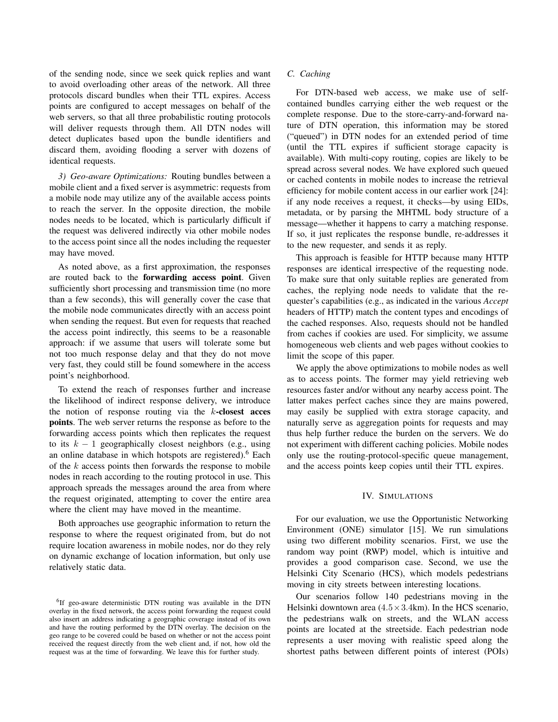of the sending node, since we seek quick replies and want to avoid overloading other areas of the network. All three protocols discard bundles when their TTL expires. Access points are configured to accept messages on behalf of the web servers, so that all three probabilistic routing protocols will deliver requests through them. All DTN nodes will detect duplicates based upon the bundle identifiers and discard them, avoiding flooding a server with dozens of identical requests.

*3) Geo-aware Optimizations:* Routing bundles between a mobile client and a fixed server is asymmetric: requests from a mobile node may utilize any of the available access points to reach the server. In the opposite direction, the mobile nodes needs to be located, which is particularly difficult if the request was delivered indirectly via other mobile nodes to the access point since all the nodes including the requester may have moved.

As noted above, as a first approximation, the responses are routed back to the forwarding access point. Given sufficiently short processing and transmission time (no more than a few seconds), this will generally cover the case that the mobile node communicates directly with an access point when sending the request. But even for requests that reached the access point indirectly, this seems to be a reasonable approach: if we assume that users will tolerate some but not too much response delay and that they do not move very fast, they could still be found somewhere in the access point's neighborhood.

To extend the reach of responses further and increase the likelihood of indirect response delivery, we introduce the notion of response routing via the  $k$ -closest acces points. The web server returns the response as before to the forwarding access points which then replicates the request to its  $k - 1$  geographically closest neighbors (e.g., using an online database in which hotspots are registered).<sup>6</sup> Each of the k access points then forwards the response to mobile nodes in reach according to the routing protocol in use. This approach spreads the messages around the area from where the request originated, attempting to cover the entire area where the client may have moved in the meantime.

Both approaches use geographic information to return the response to where the request originated from, but do not require location awareness in mobile nodes, nor do they rely on dynamic exchange of location information, but only use relatively static data.

#### *C. Caching*

For DTN-based web access, we make use of selfcontained bundles carrying either the web request or the complete response. Due to the store-carry-and-forward nature of DTN operation, this information may be stored ("queued") in DTN nodes for an extended period of time (until the TTL expires if sufficient storage capacity is available). With multi-copy routing, copies are likely to be spread across several nodes. We have explored such queued or cached contents in mobile nodes to increase the retrieval efficiency for mobile content access in our earlier work [24]: if any node receives a request, it checks—by using EIDs, metadata, or by parsing the MHTML body structure of a message—whether it happens to carry a matching response. If so, it just replicates the response bundle, re-addresses it to the new requester, and sends it as reply.

This approach is feasible for HTTP because many HTTP responses are identical irrespective of the requesting node. To make sure that only suitable replies are generated from caches, the replying node needs to validate that the requester's capabilities (e.g., as indicated in the various *Accept* headers of HTTP) match the content types and encodings of the cached responses. Also, requests should not be handled from caches if cookies are used. For simplicity, we assume homogeneous web clients and web pages without cookies to limit the scope of this paper.

We apply the above optimizations to mobile nodes as well as to access points. The former may yield retrieving web resources faster and/or without any nearby access point. The latter makes perfect caches since they are mains powered, may easily be supplied with extra storage capacity, and naturally serve as aggregation points for requests and may thus help further reduce the burden on the servers. We do not experiment with different caching policies. Mobile nodes only use the routing-protocol-specific queue management, and the access points keep copies until their TTL expires.

#### IV. SIMULATIONS

For our evaluation, we use the Opportunistic Networking Environment (ONE) simulator [15]. We run simulations using two different mobility scenarios. First, we use the random way point (RWP) model, which is intuitive and provides a good comparison case. Second, we use the Helsinki City Scenario (HCS), which models pedestrians moving in city streets between interesting locations.

Our scenarios follow 140 pedestrians moving in the Helsinki downtown area  $(4.5 \times 3.4 \text{ km})$ . In the HCS scenario, the pedestrians walk on streets, and the WLAN access points are located at the streetside. Each pedestrian node represents a user moving with realistic speed along the shortest paths between different points of interest (POIs)

<sup>6</sup> If geo-aware deterministic DTN routing was available in the DTN overlay in the fixed network, the access point forwarding the request could also insert an address indicating a geographic coverage instead of its own and have the routing performed by the DTN overlay. The decision on the geo range to be covered could be based on whether or not the access point received the request directly from the web client and, if not, how old the request was at the time of forwarding. We leave this for further study.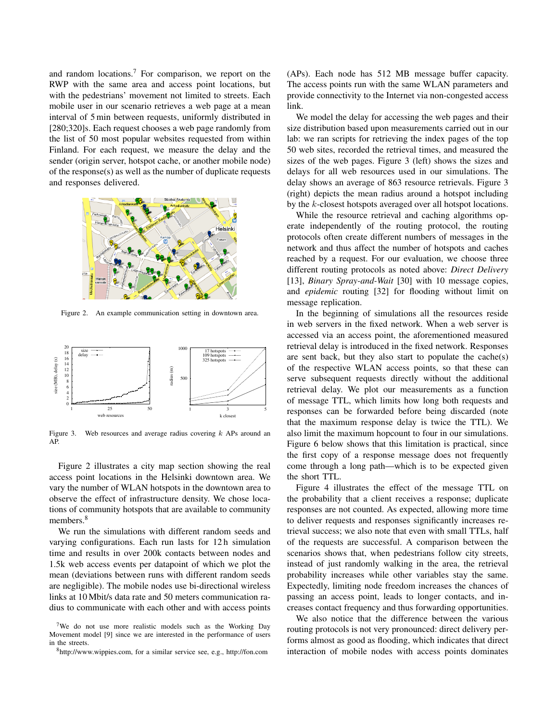and random locations.<sup>7</sup> For comparison, we report on the RWP with the same area and access point locations, but with the pedestrians' movement not limited to streets. Each mobile user in our scenario retrieves a web page at a mean interval of 5 min between requests, uniformly distributed in [280;320]s. Each request chooses a web page randomly from the list of 50 most popular websites requested from within Finland. For each request, we measure the delay and the sender (origin server, hotspot cache, or another mobile node) of the response(s) as well as the number of duplicate requests and responses delivered.



Figure 2. An example communication setting in downtown area.



Figure 3. Web resources and average radius covering  $k$  APs around an AP.

Figure 2 illustrates a city map section showing the real access point locations in the Helsinki downtown area. We vary the number of WLAN hotspots in the downtown area to observe the effect of infrastructure density. We chose locations of community hotspots that are available to community members.<sup>8</sup>

We run the simulations with different random seeds and varying configurations. Each run lasts for 12 h simulation time and results in over 200k contacts between nodes and 1.5k web access events per datapoint of which we plot the mean (deviations between runs with different random seeds are negligible). The mobile nodes use bi-directional wireless links at 10 Mbit/s data rate and 50 meters communication radius to communicate with each other and with access points (APs). Each node has 512 MB message buffer capacity. The access points run with the same WLAN parameters and provide connectivity to the Internet via non-congested access link.

We model the delay for accessing the web pages and their size distribution based upon measurements carried out in our lab: we ran scripts for retrieving the index pages of the top 50 web sites, recorded the retrieval times, and measured the sizes of the web pages. Figure 3 (left) shows the sizes and delays for all web resources used in our simulations. The delay shows an average of 863 resource retrievals. Figure 3 (right) depicts the mean radius around a hotspot including by the k-closest hotspots averaged over all hotspot locations.

While the resource retrieval and caching algorithms operate independently of the routing protocol, the routing protocols often create different numbers of messages in the network and thus affect the number of hotspots and caches reached by a request. For our evaluation, we choose three different routing protocols as noted above: *Direct Delivery* [13], *Binary Spray-and-Wait* [30] with 10 message copies, and *epidemic* routing [32] for flooding without limit on message replication.

In the beginning of simulations all the resources reside in web servers in the fixed network. When a web server is accessed via an access point, the aforementioned measured retrieval delay is introduced in the fixed network. Responses are sent back, but they also start to populate the cache(s) of the respective WLAN access points, so that these can serve subsequent requests directly without the additional retrieval delay. We plot our measurements as a function of message TTL, which limits how long both requests and responses can be forwarded before being discarded (note that the maximum response delay is twice the TTL). We also limit the maximum hopcount to four in our simulations. Figure 6 below shows that this limitation is practical, since the first copy of a response message does not frequently come through a long path—which is to be expected given the short TTL.

Figure 4 illustrates the effect of the message TTL on the probability that a client receives a response; duplicate responses are not counted. As expected, allowing more time to deliver requests and responses significantly increases retrieval success; we also note that even with small TTLs, half of the requests are successful. A comparison between the scenarios shows that, when pedestrians follow city streets, instead of just randomly walking in the area, the retrieval probability increases while other variables stay the same. Expectedly, limiting node freedom increases the chances of passing an access point, leads to longer contacts, and increases contact frequency and thus forwarding opportunities.

We also notice that the difference between the various routing protocols is not very pronounced: direct delivery performs almost as good as flooding, which indicates that direct interaction of mobile nodes with access points dominates

<sup>7</sup>We do not use more realistic models such as the Working Day Movement model [9] since we are interested in the performance of users in the streets.

<sup>8</sup>http://www.wippies.com, for a similar service see, e.g., http://fon.com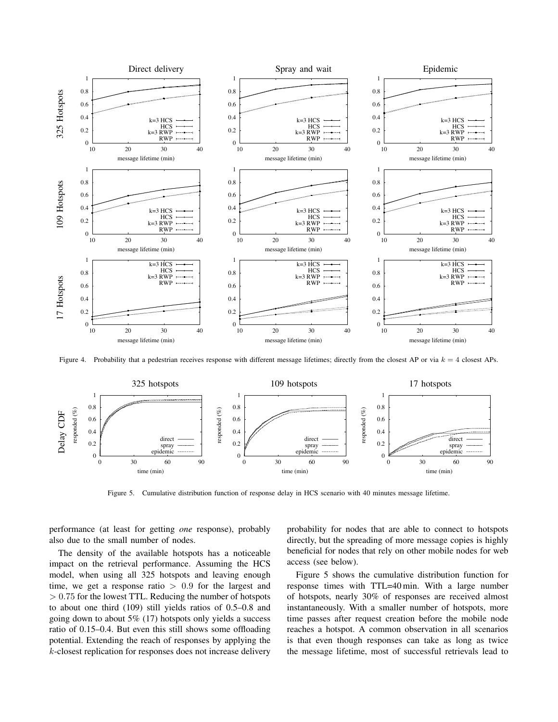

Figure 4. Probability that a pedestrian receives response with different message lifetimes; directly from the closest AP or via  $k = 4$  closest APs.



Figure 5. Cumulative distribution function of response delay in HCS scenario with 40 minutes message lifetime.

performance (at least for getting *one* response), probably also due to the small number of nodes.

The density of the available hotspots has a noticeable impact on the retrieval performance. Assuming the HCS model, when using all 325 hotspots and leaving enough time, we get a response ratio  $> 0.9$  for the largest and > 0.75 for the lowest TTL. Reducing the number of hotspots to about one third (109) still yields ratios of 0.5–0.8 and going down to about 5% (17) hotspots only yields a success ratio of 0.15–0.4. But even this still shows some offloading potential. Extending the reach of responses by applying the k-closest replication for responses does not increase delivery probability for nodes that are able to connect to hotspots directly, but the spreading of more message copies is highly beneficial for nodes that rely on other mobile nodes for web access (see below).

Figure 5 shows the cumulative distribution function for response times with TTL=40 min. With a large number of hotspots, nearly 30% of responses are received almost instantaneously. With a smaller number of hotspots, more time passes after request creation before the mobile node reaches a hotspot. A common observation in all scenarios is that even though responses can take as long as twice the message lifetime, most of successful retrievals lead to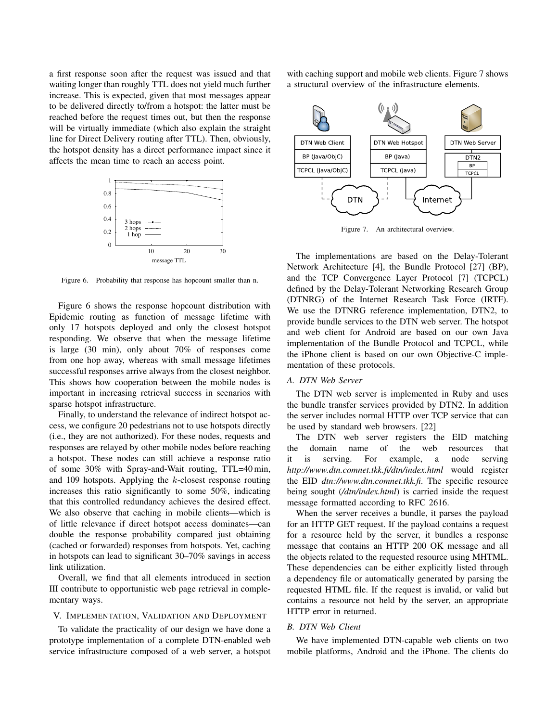a first response soon after the request was issued and that waiting longer than roughly TTL does not yield much further increase. This is expected, given that most messages appear to be delivered directly to/from a hotspot: the latter must be reached before the request times out, but then the response will be virtually immediate (which also explain the straight line for Direct Delivery routing after TTL). Then, obviously, the hotspot density has a direct performance impact since it affects the mean time to reach an access point.



Figure 6. Probability that response has hopcount smaller than n.

Figure 6 shows the response hopcount distribution with Epidemic routing as function of message lifetime with only 17 hotspots deployed and only the closest hotspot responding. We observe that when the message lifetime is large (30 min), only about 70% of responses come from one hop away, whereas with small message lifetimes successful responses arrive always from the closest neighbor. This shows how cooperation between the mobile nodes is important in increasing retrieval success in scenarios with sparse hotspot infrastructure.

Finally, to understand the relevance of indirect hotspot access, we configure 20 pedestrians not to use hotspots directly (i.e., they are not authorized). For these nodes, requests and responses are relayed by other mobile nodes before reaching a hotspot. These nodes can still achieve a response ratio of some 30% with Spray-and-Wait routing, TTL=40 min, and 109 hotspots. Applying the  $k$ -closest response routing increases this ratio significantly to some 50%, indicating that this controlled redundancy achieves the desired effect. We also observe that caching in mobile clients—which is of little relevance if direct hotspot access dominates—can double the response probability compared just obtaining (cached or forwarded) responses from hotspots. Yet, caching in hotspots can lead to significant 30–70% savings in access link utilization.

Overall, we find that all elements introduced in section III contribute to opportunistic web page retrieval in complementary ways.

#### V. IMPLEMENTATION, VALIDATION AND DEPLOYMENT

To validate the practicality of our design we have done a prototype implementation of a complete DTN-enabled web service infrastructure composed of a web server, a hotspot with caching support and mobile web clients. Figure 7 shows a structural overview of the infrastructure elements.



Figure 7. An architectural overview.

The implementations are based on the Delay-Tolerant Network Architecture [4], the Bundle Protocol [27] (BP), and the TCP Convergence Layer Protocol [7] (TCPCL) defined by the Delay-Tolerant Networking Research Group (DTNRG) of the Internet Research Task Force (IRTF). We use the DTNRG reference implementation, DTN2, to provide bundle services to the DTN web server. The hotspot and web client for Android are based on our own Java implementation of the Bundle Protocol and TCPCL, while the iPhone client is based on our own Objective-C implementation of these protocols.

## *A. DTN Web Server*

The DTN web server is implemented in Ruby and uses the bundle transfer services provided by DTN2. In addition the server includes normal HTTP over TCP service that can be used by standard web browsers. [22]

The DTN web server registers the EID matching the domain name of the web resources that it is serving. For example, a node serving *http://www.dtn.comnet.tkk.fi/dtn/index.html* would register the EID *dtn://www.dtn.comnet.tkk.fi*. The specific resource being sought (*/dtn/index.html*) is carried inside the request message formatted according to RFC 2616.

When the server receives a bundle, it parses the payload for an HTTP GET request. If the payload contains a request for a resource held by the server, it bundles a response message that contains an HTTP 200 OK message and all the objects related to the requested resource using MHTML. These dependencies can be either explicitly listed through a dependency file or automatically generated by parsing the requested HTML file. If the request is invalid, or valid but contains a resource not held by the server, an appropriate HTTP error in returned.

#### *B. DTN Web Client*

We have implemented DTN-capable web clients on two mobile platforms, Android and the iPhone. The clients do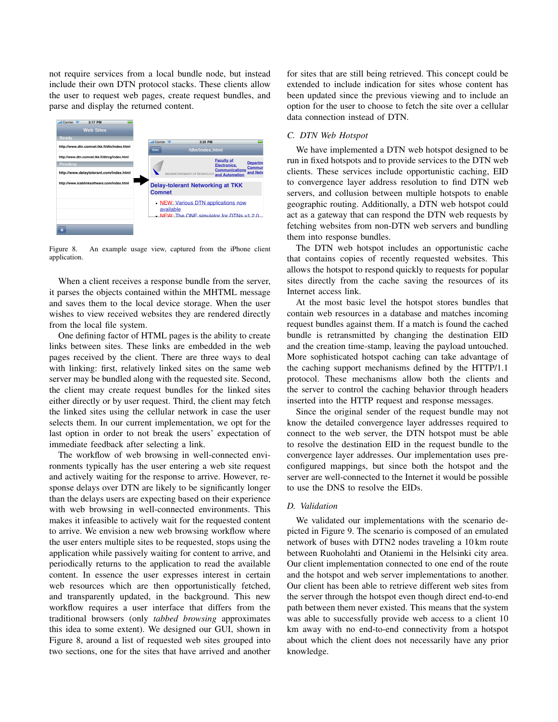not require services from a local bundle node, but instead include their own DTN protocol stacks. These clients allow the user to request web pages, create request bundles, and parse and display the returned content.

| $\overline{\phantom{a}}$ ul Carrier<br>3:17 PM |                                                                                       |
|------------------------------------------------|---------------------------------------------------------------------------------------|
| <b>Web Sites</b>                               |                                                                                       |
| Ready                                          | $\overline{\phantom{a}}$ ul Carrier<br>3:25 PM                                        |
| http://www.dtn.comnet.tkk.fi/dtn/index.html    | /dtn/index.html<br><b>Sites</b>                                                       |
| http://www.dtn.comnet.tkk.fi/dtnrg/index.html  |                                                                                       |
| Pending                                        | <b>Faculty of</b><br><b>Departme</b><br><b>Electronics.</b><br>Commun                 |
| http://www.delaytolerant.com/index.html        | <b>Communications</b><br>and Netw<br>HELSINKI UNIVERSITY OF TECHNOLOGY and Automation |
| http://www.iceblinksoftware.com/index.html     | <b>Delay-tolerant Networking at TKK</b>                                               |
|                                                | <b>Comnet</b>                                                                         |
|                                                | • NEW: Various DTN applications now<br>available                                      |
|                                                | NEW: The ONE simulator for DTNs y1 2.0                                                |
|                                                |                                                                                       |

Figure 8. An example usage view, captured from the iPhone client application.

When a client receives a response bundle from the server, it parses the objects contained within the MHTML message and saves them to the local device storage. When the user wishes to view received websites they are rendered directly from the local file system.

One defining factor of HTML pages is the ability to create links between sites. These links are embedded in the web pages received by the client. There are three ways to deal with linking: first, relatively linked sites on the same web server may be bundled along with the requested site. Second, the client may create request bundles for the linked sites either directly or by user request. Third, the client may fetch the linked sites using the cellular network in case the user selects them. In our current implementation, we opt for the last option in order to not break the users' expectation of immediate feedback after selecting a link.

The workflow of web browsing in well-connected environments typically has the user entering a web site request and actively waiting for the response to arrive. However, response delays over DTN are likely to be significantly longer than the delays users are expecting based on their experience with web browsing in well-connected environments. This makes it infeasible to actively wait for the requested content to arrive. We envision a new web browsing workflow where the user enters multiple sites to be requested, stops using the application while passively waiting for content to arrive, and periodically returns to the application to read the available content. In essence the user expresses interest in certain web resources which are then opportunistically fetched, and transparently updated, in the background. This new workflow requires a user interface that differs from the traditional browsers (only *tabbed browsing* approximates this idea to some extent). We designed our GUI, shown in Figure 8, around a list of requested web sites grouped into two sections, one for the sites that have arrived and another for sites that are still being retrieved. This concept could be extended to include indication for sites whose content has been updated since the previous viewing and to include an option for the user to choose to fetch the site over a cellular data connection instead of DTN.

## *C. DTN Web Hotspot*

We have implemented a DTN web hotspot designed to be run in fixed hotspots and to provide services to the DTN web clients. These services include opportunistic caching, EID to convergence layer address resolution to find DTN web servers, and collusion between multiple hotspots to enable geographic routing. Additionally, a DTN web hotspot could act as a gateway that can respond the DTN web requests by fetching websites from non-DTN web servers and bundling them into response bundles.

The DTN web hotspot includes an opportunistic cache that contains copies of recently requested websites. This allows the hotspot to respond quickly to requests for popular sites directly from the cache saving the resources of its Internet access link.

At the most basic level the hotspot stores bundles that contain web resources in a database and matches incoming request bundles against them. If a match is found the cached bundle is retransmitted by changing the destination EID and the creation time-stamp, leaving the payload untouched. More sophisticated hotspot caching can take advantage of the caching support mechanisms defined by the HTTP/1.1 protocol. These mechanisms allow both the clients and the server to control the caching behavior through headers inserted into the HTTP request and response messages.

Since the original sender of the request bundle may not know the detailed convergence layer addresses required to connect to the web server, the DTN hotspot must be able to resolve the destination EID in the request bundle to the convergence layer addresses. Our implementation uses preconfigured mappings, but since both the hotspot and the server are well-connected to the Internet it would be possible to use the DNS to resolve the EIDs.

# *D. Validation*

We validated our implementations with the scenario depicted in Figure 9. The scenario is composed of an emulated network of buses with DTN2 nodes traveling a 10 km route between Ruoholahti and Otaniemi in the Helsinki city area. Our client implementation connected to one end of the route and the hotspot and web server implementations to another. Our client has been able to retrieve different web sites from the server through the hotspot even though direct end-to-end path between them never existed. This means that the system was able to successfully provide web access to a client 10 km away with no end-to-end connectivity from a hotspot about which the client does not necessarily have any prior knowledge.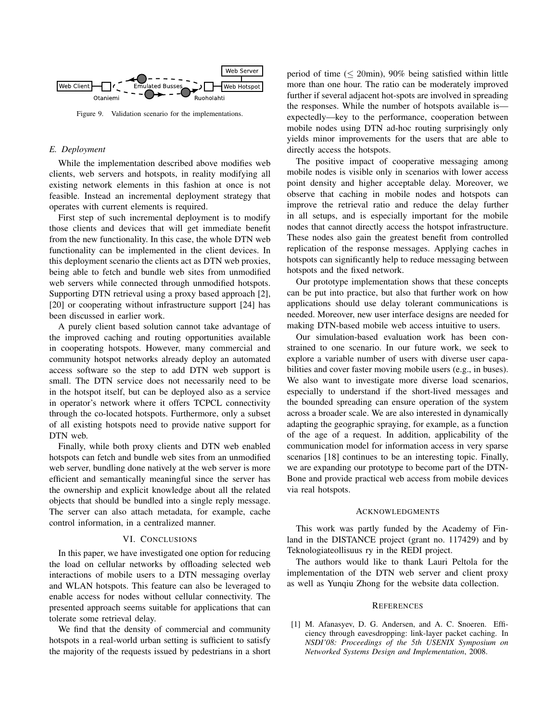

Figure 9. Validation scenario for the implementations.

## *E. Deployment*

While the implementation described above modifies web clients, web servers and hotspots, in reality modifying all existing network elements in this fashion at once is not feasible. Instead an incremental deployment strategy that operates with current elements is required.

First step of such incremental deployment is to modify those clients and devices that will get immediate benefit from the new functionality. In this case, the whole DTN web functionality can be implemented in the client devices. In this deployment scenario the clients act as DTN web proxies, being able to fetch and bundle web sites from unmodified web servers while connected through unmodified hotspots. Supporting DTN retrieval using a proxy based approach [2], [20] or cooperating without infrastructure support [24] has been discussed in earlier work.

A purely client based solution cannot take advantage of the improved caching and routing opportunities available in cooperating hotspots. However, many commercial and community hotspot networks already deploy an automated access software so the step to add DTN web support is small. The DTN service does not necessarily need to be in the hotspot itself, but can be deployed also as a service in operator's network where it offers TCPCL connectivity through the co-located hotspots. Furthermore, only a subset of all existing hotspots need to provide native support for DTN web.

Finally, while both proxy clients and DTN web enabled hotspots can fetch and bundle web sites from an unmodified web server, bundling done natively at the web server is more efficient and semantically meaningful since the server has the ownership and explicit knowledge about all the related objects that should be bundled into a single reply message. The server can also attach metadata, for example, cache control information, in a centralized manner.

#### VI. CONCLUSIONS

In this paper, we have investigated one option for reducing the load on cellular networks by offloading selected web interactions of mobile users to a DTN messaging overlay and WLAN hotspots. This feature can also be leveraged to enable access for nodes without cellular connectivity. The presented approach seems suitable for applications that can tolerate some retrieval delay.

We find that the density of commercial and community hotspots in a real-world urban setting is sufficient to satisfy the majority of the requests issued by pedestrians in a short period of time ( $\leq$  20min), 90% being satisfied within little more than one hour. The ratio can be moderately improved further if several adjacent hot-spots are involved in spreading the responses. While the number of hotspots available is expectedly—key to the performance, cooperation between mobile nodes using DTN ad-hoc routing surprisingly only yields minor improvements for the users that are able to directly access the hotspots.

The positive impact of cooperative messaging among mobile nodes is visible only in scenarios with lower access point density and higher acceptable delay. Moreover, we observe that caching in mobile nodes and hotspots can improve the retrieval ratio and reduce the delay further in all setups, and is especially important for the mobile nodes that cannot directly access the hotspot infrastructure. These nodes also gain the greatest benefit from controlled replication of the response messages. Applying caches in hotspots can significantly help to reduce messaging between hotspots and the fixed network.

Our prototype implementation shows that these concepts can be put into practice, but also that further work on how applications should use delay tolerant communications is needed. Moreover, new user interface designs are needed for making DTN-based mobile web access intuitive to users.

Our simulation-based evaluation work has been constrained to one scenario. In our future work, we seek to explore a variable number of users with diverse user capabilities and cover faster moving mobile users (e.g., in buses). We also want to investigate more diverse load scenarios, especially to understand if the short-lived messages and the bounded spreading can ensure operation of the system across a broader scale. We are also interested in dynamically adapting the geographic spraying, for example, as a function of the age of a request. In addition, applicability of the communication model for information access in very sparse scenarios [18] continues to be an interesting topic. Finally, we are expanding our prototype to become part of the DTN-Bone and provide practical web access from mobile devices via real hotspots.

#### ACKNOWLEDGMENTS

This work was partly funded by the Academy of Finland in the DISTANCE project (grant no. 117429) and by Teknologiateollisuus ry in the REDI project.

The authors would like to thank Lauri Peltola for the implementation of the DTN web server and client proxy as well as Yunqiu Zhong for the website data collection.

#### **REFERENCES**

[1] M. Afanasyev, D. G. Andersen, and A. C. Snoeren. Efficiency through eavesdropping: link-layer packet caching. In *NSDI'08: Proceedings of the 5th USENIX Symposium on Networked Systems Design and Implementation*, 2008.